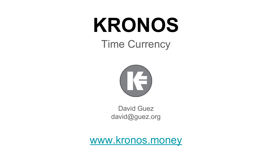# **KRONOS** Time Currency



David Guez david@guez.org

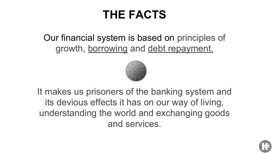## **THE FACTS**

Our financial system is based on principles of growth, borrowing and debt repayment.



It makes us prisoners of the banking system and its devious effects it has on our way of living, understanding the world and exchanging goods and services.

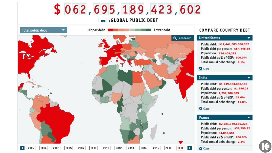# \$062,695,189,423,602

#### **EN IGLOBAL PUBLIC DEBT**



にく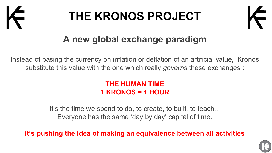

# **THE KRONOS PROJECT**



### **A new global exchange paradigm**

Instead of basing the currency on inflation or deflation of an artificial value, Kronos substitute this value with the one which really *governs* these exchanges :

#### **THE HUMAN TIME 1 KRONOS = 1 HOUR**

It's the time we spend to do, to create, to built, to teach... Everyone has the same 'day by day' capital of time.

**it's pushing the idea of making an equivalence between all activities**

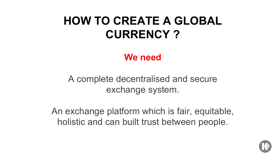## **HOW TO CREATE A GLOBAL CURRENCY ?**

### **We need**

A complete decentralised and secure exchange system.

An exchange platform which is fair, equitable, holistic and can built trust between people.

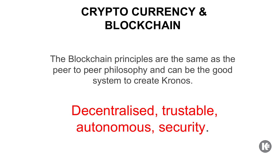## **CRYPTO CURRENCY & BLOCKCHAIN**

The Blockchain principles are the same as the peer to peer philosophy and can be the good system to create Kronos.

> Decentralised, trustable, autonomous, security.

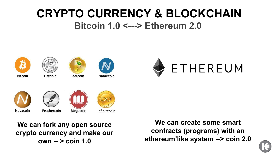### **CRYPTO CURRENCY & BLOCKCHAIN Bitcoin 1.0 <---> Ethereum 2.0**





Litecoin

Peercoin

Namecoin









Infinitecoin

**We can fork any open source crypto currency and make our own -- > coin 1.0**

**We can create some smart contracts (programs) with an ethereum'like system --> coin 2.0**

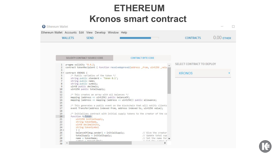### **ETHEREUM**

### **Kronos smart contract**

| Ethereum Wallet                                                                                                 |                                                                                                               | Ethereum Wallet Accounts Edit View Develop Window Help                                                                                                                                                                                                                                                                                                                                                                                                                                                                              |                                                                                                                                                            |                  |                           |  |
|-----------------------------------------------------------------------------------------------------------------|---------------------------------------------------------------------------------------------------------------|-------------------------------------------------------------------------------------------------------------------------------------------------------------------------------------------------------------------------------------------------------------------------------------------------------------------------------------------------------------------------------------------------------------------------------------------------------------------------------------------------------------------------------------|------------------------------------------------------------------------------------------------------------------------------------------------------------|------------------|---------------------------|--|
|                                                                                                                 | <b>WALLETS</b>                                                                                                | <b>SEND</b>                                                                                                                                                                                                                                                                                                                                                                                                                                                                                                                         |                                                                                                                                                            | <b>CONTRACTS</b> | $0.00$ ETHER              |  |
|                                                                                                                 |                                                                                                               |                                                                                                                                                                                                                                                                                                                                                                                                                                                                                                                                     |                                                                                                                                                            |                  |                           |  |
|                                                                                                                 |                                                                                                               | SOLIDITY CONTRACT SOURCE CODE                                                                                                                                                                                                                                                                                                                                                                                                                                                                                                       | <b>CONTRACT BYTE CODE</b>                                                                                                                                  |                  |                           |  |
| 1<br>$\mathbf{2}$                                                                                               | pragma solidity ^0.4.2;<br>contract tokenRecipient { function receiveApproval(address from, uint256 valu<br>3 |                                                                                                                                                                                                                                                                                                                                                                                                                                                                                                                                     |                                                                                                                                                            |                  | SELECT CONTRACT TO DEPLOY |  |
| 5<br>6<br>7<br>8<br>9<br>10<br>11<br>12<br>13<br>14<br>15<br>16<br>17<br>18<br>19<br>20<br>21<br>22<br>23<br>24 | 4 * contract KRONOS {<br>string public name;<br>function MyToken(                                             | $/*$ Public variables of the token $*/$<br>string public standard = 'Token $0.1$ ';<br>string public symbol;<br>uint8 public decimals;<br>uint256 public totalSupply;<br>/* This creates an array with all balances $*/$<br>mapping (address => uint256) public balanceOf;<br>mapping (address => mapping (address => $\text{uint256}$ )) public allowance;<br>event Transfer(address indexed from, address indexed to, uint256 value);<br>uint256 initialSupply,<br>string tokenName,<br>uint8 decimalUnits,<br>string tokenSymbol | /* This generates a public event on the blockchain that will notify clients<br>/* Initializes contract with initial supply tokens to the creator of the co | <b>KRONOS</b>    |                           |  |
| $25 -$<br>26<br>27<br>28<br>29<br>30                                                                            | $\left  \cdot \right $                                                                                        | balanceOf[msg.sender] = initialSupply;<br>totalSupply = initialSupply;<br>$name = tokenName$ :<br>$r: m \rightarrow 1 - + n! \cdot n! \cdot n!$                                                                                                                                                                                                                                                                                                                                                                                     | // Give the creator<br>// Update total sup<br>// Set the name for $\rightarrow$<br>$11$ Cat the rumber $1$                                                 |                  |                           |  |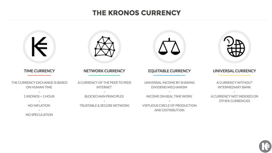#### **THE KRONOS CURRENCY**



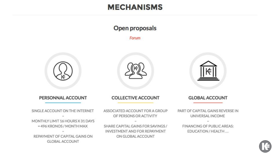### **MECHANISMS**

#### Open proposals

Forum







#### PERSONNAL ACCOUNT

SINGLE ACCOUNT ON THE INTERNET MONTHLY LIMIT 16 HOURS X 31 DAYS  $= 496$  KRONOS / MONTH MAX REPAYMENT OF CAPITAL GAINS ON

**GLOBAL ACCOUNT** 

**COLLECTIVE ACCOUNT** 

ASSOCIATED ACCOUNT FOR A GROUP OF PERSONS OR ACTIVITY

SHARE CAPITAL GAINS FOR SAVINGS / INVESTMENT AND FOR REPAYMENT ON GLOBAL ACCOUNT

**GLOBAL ACCOUNT** 

PART OF CAPITAL GAINS REVERSE IN UNIVERSAL INCOME

FINANCING OF PUBLIC AREAS: EDUCATION / HEALTH ...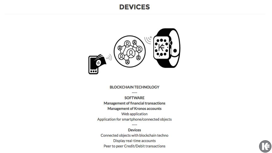#### **DEVICES**



#### **BLOCKCHAIN TECHNOLOGY**

----

**SOFTWARE** 

**Management of financial transactions** 

**Management of Kronos accounts** 

Web application Application for smartphone/connected objects ----

**Devices** Connected objects with blockchain techno Display real-time accounts Peer to peer Credit/Debit transactions

₹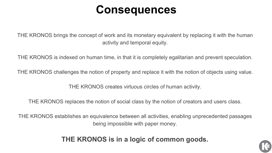## **Consequences**

THE KRONOS brings the concept of work and its monetary equivalent by replacing it with the human activity and temporal equity.

THE KRONOS is indexed on human time, in that it is completely egalitarian and prevent speculation.

THE KRONOS challenges the notion of property and replace it with the notion of objects using value.

THE KRONOS creates virtuous circles of human activity.

THE KRONOS replaces the notion of social class by the notion of creators and users class.

THE KRONOS establishes an equivalence between all activities, enabling unprecedented passages being impossible with paper money.

**THE KRONOS is in a logic of common goods.**

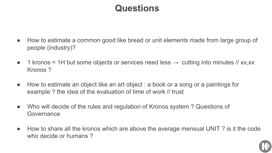### **Questions**

- How to estimate a common good like bread or unit elements made from large group of people (industry)?
- 1 kronos = 1H but some objects or services need less  $\rightarrow$  cutting into minutes // xx, xx Kronos ?
- How to estimate an object like an art object : a book or a song or a paintings for example ? the idea of the evaluation of time of work // trust
- Who will decide of the rules and regulation of Kronos system ? Questions of **Governance**
- How to share all the kronos which are above the average mensual UNIT ? is it the code who decide or humans ?